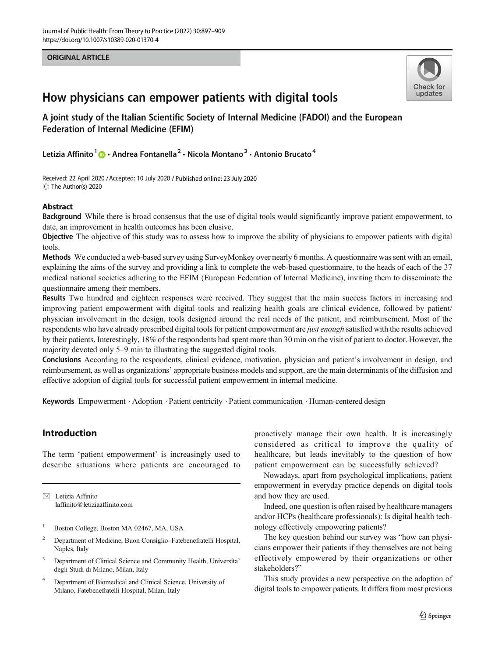#### ORIGINAL ARTICLE



# How physicians can empower patients with digital tools

A joint study of the Italian Scientific Society of Internal Medicine (FADOI) and the European Federation of Internal Medicine (EFIM)

Letizia Affinito<sup>1</sup>  $\odot$  · Andrea Fontanella<sup>2</sup> · Nicola Montano<sup>3</sup> · Antonio Brucato<sup>4</sup>

Received: 22 April 2020 /Accepted: 10 July 2020 / Published online: 23 July 2020  $\circledcirc$  The Author(s) 2020

#### Abstract

Background While there is broad consensus that the use of digital tools would significantly improve patient empowerment, to date, an improvement in health outcomes has been elusive.

Objective The objective of this study was to assess how to improve the ability of physicians to empower patients with digital tools.

Methods We conducted a web-based survey using SurveyMonkey over nearly 6 months. A questionnaire was sent with an email, explaining the aims of the survey and providing a link to complete the web-based questionnaire, to the heads of each of the 37 medical national societies adhering to the EFIM (European Federation of Internal Medicine), inviting them to disseminate the questionnaire among their members.

Results Two hundred and eighteen responses were received. They suggest that the main success factors in increasing and improving patient empowerment with digital tools and realizing health goals are clinical evidence, followed by patient/ physician involvement in the design, tools designed around the real needs of the patient, and reimbursement. Most of the respondents who have already prescribed digital tools for patient empowerment are *just enough* satisfied with the results achieved by their patients. Interestingly, 18% of the respondents had spent more than 30 min on the visit of patient to doctor. However, the majority devoted only 5–9 min to illustrating the suggested digital tools.

Conclusions According to the respondents, clinical evidence, motivation, physician and patient's involvement in design, and reimbursement, as well as organizations' appropriate business models and support, are the main determinants of the diffusion and effective adoption of digital tools for successful patient empowerment in internal medicine.

Keywords Empowerment . Adoption . Patient centricity . Patient communication . Human-centered design

# Introduction

The term 'patient empowerment' is increasingly used to describe situations where patients are encouraged to

 $\boxtimes$  Letizia Affinito [laffinito@letiziaaffinito.com](mailto:laffinito@letiziaaffinito.com)

- <sup>1</sup> Boston College, Boston MA 02467, MA, USA
- <sup>2</sup> Department of Medicine, Buon Consiglio–Fatebenefratelli Hospital, Naples, Italy
- <sup>3</sup> Department of Clinical Science and Community Health, Universita' degli Studi di Milano, Milan, Italy
- <sup>4</sup> Department of Biomedical and Clinical Science, University of Milano, Fatebenefratelli Hospital, Milan, Italy

proactively manage their own health. It is increasingly considered as critical to improve the quality of healthcare, but leads inevitably to the question of how patient empowerment can be successfully achieved?

Nowadays, apart from psychological implications, patient empowerment in everyday practice depends on digital tools and how they are used.

Indeed, one question is often raised by healthcare managers and/or HCPs (healthcare professionals): Is digital health technology effectively empowering patients?

The key question behind our survey was "how can physicians empower their patients if they themselves are not being effectively empowered by their organizations or other stakeholders?"

This study provides a new perspective on the adoption of digital tools to empower patients. It differs from most previous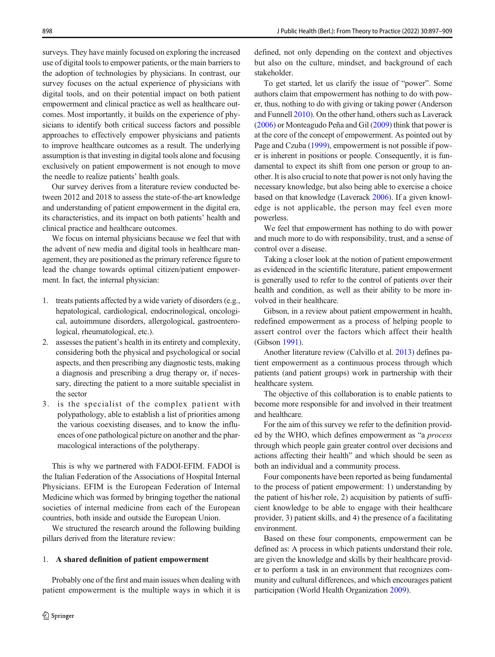surveys. They have mainly focused on exploring the increased use of digital tools to empower patients, or the main barriers to the adoption of technologies by physicians. In contrast, our survey focuses on the actual experience of physicians with digital tools, and on their potential impact on both patient empowerment and clinical practice as well as healthcare outcomes. Most importantly, it builds on the experience of physicians to identify both critical success factors and possible approaches to effectively empower physicians and patients to improve healthcare outcomes as a result. The underlying assumption is that investing in digital tools alone and focusing exclusively on patient empowerment is not enough to move the needle to realize patients' health goals.

Our survey derives from a literature review conducted between 2012 and 2018 to assess the state-of-the-art knowledge and understanding of patient empowerment in the digital era, its characteristics, and its impact on both patients' health and clinical practice and healthcare outcomes.

We focus on internal physicians because we feel that with the advent of new media and digital tools in healthcare management, they are positioned as the primary reference figure to lead the change towards optimal citizen/patient empowerment. In fact, the internal physician:

- 1. treats patients affected by a wide variety of disorders (e.g., hepatological, cardiological, endocrinological, oncological, autoimmune disorders, allergological, gastroenterological, rheumatological, etc.).
- 2. assesses the patient's health in its entirety and complexity, considering both the physical and psychological or social aspects, and then prescribing any diagnostic tests, making a diagnosis and prescribing a drug therapy or, if necessary, directing the patient to a more suitable specialist in the sector
- 3. is the specialist of the complex patient with polypathology, able to establish a list of priorities among the various coexisting diseases, and to know the influences of one pathological picture on another and the pharmacological interactions of the polytherapy.

This is why we partnered with FADOI-EFIM. FADOI is the Italian Federation of the Associations of Hospital Internal Physicians. EFIM is the European Federation of Internal Medicine which was formed by bringing together the national societies of internal medicine from each of the European countries, both inside and outside the European Union.

We structured the research around the following building pillars derived from the literature review:

#### 1. A shared definition of patient empowerment

Probably one of the first and main issues when dealing with patient empowerment is the multiple ways in which it is

defined, not only depending on the context and objectives but also on the culture, mindset, and background of each stakeholder.

To get started, let us clarify the issue of "power". Some authors claim that empowerment has nothing to do with power, thus, nothing to do with giving or taking power (Anderson and Funnell [2010](#page-11-0)). On the other hand, others such as Laverack [\(2006\)](#page-11-0) or Monteagudo Peña and Gil [\(2009\)](#page-11-0) think that power is at the core of the concept of empowerment. As pointed out by Page and Czuba ([1999](#page-11-0)), empowerment is not possible if power is inherent in positions or people. Consequently, it is fundamental to expect its shift from one person or group to another. It is also crucial to note that power is not only having the necessary knowledge, but also being able to exercise a choice based on that knowledge (Laverack [2006\)](#page-11-0). If a given knowledge is not applicable, the person may feel even more powerless.

We feel that empowerment has nothing to do with power and much more to do with responsibility, trust, and a sense of control over a disease.

Taking a closer look at the notion of patient empowerment as evidenced in the scientific literature, patient empowerment is generally used to refer to the control of patients over their health and condition, as well as their ability to be more involved in their healthcare.

Gibson, in a review about patient empowerment in health, redefined empowerment as a process of helping people to assert control over the factors which affect their health (Gibson [1991\)](#page-11-0).

Another literature review (Calvillo et al. [2013\)](#page-11-0) defines patient empowerment as a continuous process through which patients (and patient groups) work in partnership with their healthcare system.

The objective of this collaboration is to enable patients to become more responsible for and involved in their treatment and healthcare.

For the aim of this survey we refer to the definition provided by the WHO, which defines empowerment as "a process through which people gain greater control over decisions and actions affecting their health" and which should be seen as both an individual and a community process.

Four components have been reported as being fundamental to the process of patient empowerment: 1) understanding by the patient of his/her role, 2) acquisition by patients of sufficient knowledge to be able to engage with their healthcare provider, 3) patient skills, and 4) the presence of a facilitating environment.

Based on these four components, empowerment can be defined as: A process in which patients understand their role, are given the knowledge and skills by their healthcare provider to perform a task in an environment that recognizes community and cultural differences, and which encourages patient participation (World Health Organization [2009\)](#page-12-0).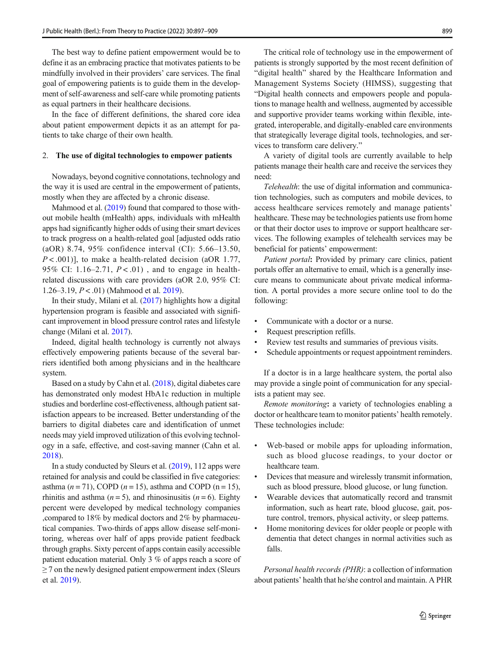The best way to define patient empowerment would be to define it as an embracing practice that motivates patients to be mindfully involved in their providers' care services. The final goal of empowering patients is to guide them in the development of self-awareness and self-care while promoting patients as equal partners in their healthcare decisions.

In the face of different definitions, the shared core idea about patient empowerment depicts it as an attempt for patients to take charge of their own health.

#### 2. The use of digital technologies to empower patients

Nowadays, beyond cognitive connotations, technology and the way it is used are central in the empowerment of patients, mostly when they are affected by a chronic disease.

Mahmood et al. ([2019](#page-11-0)) found that compared to those without mobile health (mHealth) apps, individuals with mHealth apps had significantly higher odds of using their smart devices to track progress on a health-related goal [adjusted odds ratio (aOR) 8.74, 95% confidence interval (CI): 5.66–13.50,  $P < .001$ ], to make a health-related decision (aOR 1.77, 95% CI: 1.16–2.71,  $P < .01$ ), and to engage in healthrelated discussions with care providers (aOR 2.0, 95% CI: 1.26–3.19,  $P < .01$ ) (Mahmood et al. [2019\)](#page-11-0).

In their study, Milani et al. ([2017](#page-11-0)) highlights how a digital hypertension program is feasible and associated with significant improvement in blood pressure control rates and lifestyle change (Milani et al. [2017\)](#page-11-0).

Indeed, digital health technology is currently not always effectively empowering patients because of the several barriers identified both among physicians and in the healthcare system.

Based on a study by Cahn et al. [\(2018\)](#page-11-0), digital diabetes care has demonstrated only modest HbA1c reduction in multiple studies and borderline cost-effectiveness, although patient satisfaction appears to be increased. Better understanding of the barriers to digital diabetes care and identification of unmet needs may yield improved utilization of this evolving technology in a safe, effective, and cost-saving manner (Cahn et al. [2018\)](#page-11-0).

In a study conducted by Sleurs et al. [\(2019\)](#page-12-0), 112 apps were retained for analysis and could be classified in five categories: asthma  $(n = 71)$ , COPD  $(n = 15)$ , asthma and COPD  $(n = 15)$ , rhinitis and asthma ( $n = 5$ ), and rhinosinusitis ( $n = 6$ ). Eighty percent were developed by medical technology companies ,compared to 18% by medical doctors and 2% by pharmaceutical companies. Two-thirds of apps allow disease self-monitoring, whereas over half of apps provide patient feedback through graphs. Sixty percent of apps contain easily accessible patient education material. Only 3 % of apps reach a score of  $\geq$  7 on the newly designed patient empowerment index (Sleurs et al. [2019](#page-12-0)).

The critical role of technology use in the empowerment of patients is strongly supported by the most recent definition of "digital health" shared by the Healthcare Information and Management Systems Society (HIMSS), suggesting that "Digital health connects and empowers people and populations to manage health and wellness, augmented by accessible and supportive provider teams working within flexible, integrated, interoperable, and digitally-enabled care environments that strategically leverage digital tools, technologies, and services to transform care delivery."

A variety of digital tools are currently available to help patients manage their health care and receive the services they need:

Telehealth: the use of digital information and communication technologies, such as computers and mobile devices, to access healthcare services remotely and manage patients' healthcare. These may be technologies patients use from home or that their doctor uses to improve or support healthcare services. The following examples of telehealth services may be beneficial for patients' empowerment:

Patient portal: Provided by primary care clinics, patient portals offer an alternative to email, which is a generally insecure means to communicate about private medical information. A portal provides a more secure online tool to do the following:

- Communicate with a doctor or a nurse.
- Request prescription refills.
- Review test results and summaries of previous visits.
- & Schedule appointments or request appointment reminders.

If a doctor is in a large healthcare system, the portal also may provide a single point of communication for any specialists a patient may see.

Remote monitoring: a variety of technologies enabling a doctor or healthcare team to monitor patients' health remotely. These technologies include:

- Web-based or mobile apps for uploading information, such as blood glucose readings, to your doctor or healthcare team.
- Devices that measure and wirelessly transmit information, such as blood pressure, blood glucose, or lung function.
- Wearable devices that automatically record and transmit information, such as heart rate, blood glucose, gait, posture control, tremors, physical activity, or sleep patterns.
- Home monitoring devices for older people or people with dementia that detect changes in normal activities such as falls.

Personal health records (PHR): a collection of information about patients' health that he/she control and maintain. A PHR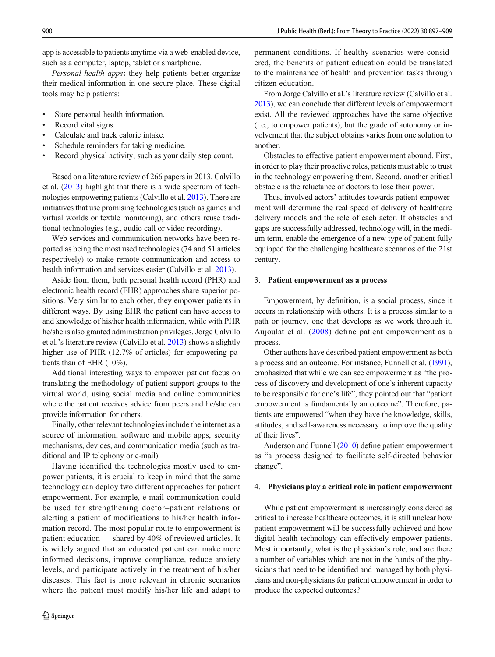app is accessible to patients anytime via a web-enabled device, such as a computer, laptop, tablet or smartphone.

Personal health apps: they help patients better organize their medical information in one secure place. These digital tools may help patients:

- Store personal health information.
- Record vital signs.
- Calculate and track caloric intake.
- Schedule reminders for taking medicine.
- Record physical activity, such as your daily step count.

Based on a literature review of 266 papers in 2013, Calvillo et al. ([2013](#page-11-0)) highlight that there is a wide spectrum of technologies empowering patients (Calvillo et al. [2013](#page-11-0)). There are initiatives that use promising technologies (such as games and virtual worlds or textile monitoring), and others reuse traditional technologies (e.g., audio call or video recording).

Web services and communication networks have been reported as being the most used technologies (74 and 51 articles respectively) to make remote communication and access to health information and services easier (Calvillo et al. [2013\)](#page-11-0).

Aside from them, both personal health record (PHR) and electronic health record (EHR) approaches share superior positions. Very similar to each other, they empower patients in different ways. By using EHR the patient can have access to and knowledge of his/her health information, while with PHR he/she is also granted administration privileges. Jorge Calvillo et al.'s literature review (Calvillo et al. [2013](#page-11-0)) shows a slightly higher use of PHR (12.7% of articles) for empowering patients than of EHR (10%).

Additional interesting ways to empower patient focus on translating the methodology of patient support groups to the virtual world, using social media and online communities where the patient receives advice from peers and he/she can provide information for others.

Finally, other relevant technologies include the internet as a source of information, software and mobile apps, security mechanisms, devices, and communication media (such as traditional and IP telephony or e-mail).

Having identified the technologies mostly used to empower patients, it is crucial to keep in mind that the same technology can deploy two different approaches for patient empowerment. For example, e-mail communication could be used for strengthening doctor–patient relations or alerting a patient of modifications to his/her health information record. The most popular route to empowerment is patient education — shared by 40% of reviewed articles. It is widely argued that an educated patient can make more informed decisions, improve compliance, reduce anxiety levels, and participate actively in the treatment of his/her diseases. This fact is more relevant in chronic scenarios where the patient must modify his/her life and adapt to permanent conditions. If healthy scenarios were considered, the benefits of patient education could be translated to the maintenance of health and prevention tasks through citizen education.

From Jorge Calvillo et al.'s literature review (Calvillo et al. [2013\)](#page-11-0), we can conclude that different levels of empowerment exist. All the reviewed approaches have the same objective (i.e., to empower patients), but the grade of autonomy or involvement that the subject obtains varies from one solution to another.

Obstacles to effective patient empowerment abound. First, in order to play their proactive roles, patients must able to trust in the technology empowering them. Second, another critical obstacle is the reluctance of doctors to lose their power.

Thus, involved actors' attitudes towards patient empowerment will determine the real speed of delivery of healthcare delivery models and the role of each actor. If obstacles and gaps are successfully addressed, technology will, in the medium term, enable the emergence of a new type of patient fully equipped for the challenging healthcare scenarios of the 21st century.

#### 3. Patient empowerment as a process

Empowerment, by definition, is a social process, since it occurs in relationship with others. It is a process similar to a path or journey, one that develops as we work through it. Aujoulat et al. ([2008\)](#page-11-0) define patient empowerment as a process.

Other authors have described patient empowerment as both a process and an outcome. For instance, Funnell et al. [\(1991\)](#page-11-0), emphasized that while we can see empowerment as "the process of discovery and development of one's inherent capacity to be responsible for one's life", they pointed out that "patient empowerment is fundamentally an outcome". Therefore, patients are empowered "when they have the knowledge, skills, attitudes, and self-awareness necessary to improve the quality of their lives".

Anderson and Funnell [\(2010](#page-11-0)) define patient empowerment as "a process designed to facilitate self-directed behavior change".

#### 4. Physicians play a critical role in patient empowerment

While patient empowerment is increasingly considered as critical to increase healthcare outcomes, it is still unclear how patient empowerment will be successfully achieved and how digital health technology can effectively empower patients. Most importantly, what is the physician's role, and are there a number of variables which are not in the hands of the physicians that need to be identified and managed by both physicians and non-physicians for patient empowerment in order to produce the expected outcomes?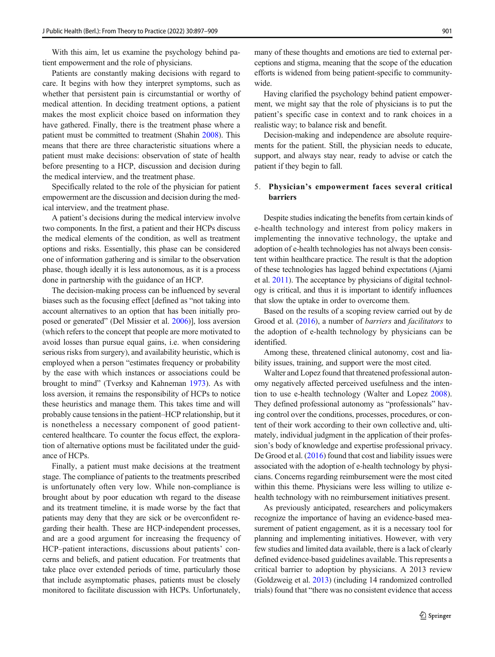With this aim, let us examine the psychology behind patient empowerment and the role of physicians.

Patients are constantly making decisions with regard to care. It begins with how they interpret symptoms, such as whether that persistent pain is circumstantial or worthy of medical attention. In deciding treatment options, a patient makes the most explicit choice based on information they have gathered. Finally, there is the treatment phase where a patient must be committed to treatment (Shahin [2008\)](#page-12-0). This means that there are three characteristic situations where a patient must make decisions: observation of state of health before presenting to a HCP, discussion and decision during the medical interview, and the treatment phase.

Specifically related to the role of the physician for patient empowerment are the discussion and decision during the medical interview, and the treatment phase.

A patient's decisions during the medical interview involve two components. In the first, a patient and their HCPs discuss the medical elements of the condition, as well as treatment options and risks. Essentially, this phase can be considered one of information gathering and is similar to the observation phase, though ideally it is less autonomous, as it is a process done in partnership with the guidance of an HCP.

The decision-making process can be influenced by several biases such as the focusing effect [defined as "not taking into account alternatives to an option that has been initially proposed or generated" (Del Missier et al. [2006\)](#page-11-0)], loss aversion (which refers to the concept that people are more motivated to avoid losses than pursue equal gains, i.e. when considering serious risks from surgery), and availability heuristic, which is employed when a person "estimates frequency or probability by the ease with which instances or associations could be brought to mind" (Tverksy and Kahneman [1973\)](#page-12-0). As with loss aversion, it remains the responsibility of HCPs to notice these heuristics and manage them. This takes time and will probably cause tensions in the patient–HCP relationship, but it is nonetheless a necessary component of good patientcentered healthcare. To counter the focus effect, the exploration of alternative options must be facilitated under the guidance of HCPs.

Finally, a patient must make decisions at the treatment stage. The compliance of patients to the treatments prescribed is unfortunately often very low. While non-compliance is brought about by poor education wth regard to the disease and its treatment timeline, it is made worse by the fact that patients may deny that they are sick or be overconfident regarding their health. These are HCP-independent processes, and are a good argument for increasing the frequency of HCP–patient interactions, discussions about patients' concerns and beliefs, and patient education. For treatments that take place over extended periods of time, particularly those that include asymptomatic phases, patients must be closely monitored to facilitate discussion with HCPs. Unfortunately,

many of these thoughts and emotions are tied to external perceptions and stigma, meaning that the scope of the education efforts is widened from being patient-specific to communitywide.

Having clarified the psychology behind patient empowerment, we might say that the role of physicians is to put the patient's specific case in context and to rank choices in a realistic way; to balance risk and benefit.

Decision-making and independence are absolute requirements for the patient. Still, the physician needs to educate, support, and always stay near, ready to advise or catch the patient if they begin to fall.

#### 5. Physician's empowerment faces several critical barriers

Despite studies indicating the benefits from certain kinds of e-health technology and interest from policy makers in implementing the innovative technology, the uptake and adoption of e-health technologies has not always been consistent within healthcare practice. The result is that the adoption of these technologies has lagged behind expectations (Ajami et al. [2011](#page-11-0)). The acceptance by physicians of digital technology is critical, and thus it is important to identify influences that slow the uptake in order to overcome them.

Based on the results of a scoping review carried out by de Grood et al. ([2016](#page-11-0)), a number of barriers and facilitators to the adoption of e-health technology by physicians can be identified.

Among these, threatened clinical autonomy, cost and liability issues, training, and support were the most cited.

Walter and Lopez found that threatened professional autonomy negatively affected perceived usefulness and the intention to use e-health technology (Walter and Lopez [2008\)](#page-12-0). They defined professional autonomy as "professionals" having control over the conditions, processes, procedures, or content of their work according to their own collective and, ultimately, individual judgment in the application of their profession's body of knowledge and expertise professional privacy. De Grood et al. ([2016](#page-11-0)) found that cost and liability issues were associated with the adoption of e-health technology by physicians. Concerns regarding reimbursement were the most cited within this theme. Physicians were less willing to utilize ehealth technology with no reimbursement initiatives present.

As previously anticipated, researchers and policymakers recognize the importance of having an evidence-based measurement of patient engagement, as it is a necessary tool for planning and implementing initiatives. However, with very few studies and limited data available, there is a lack of clearly defined evidence-based guidelines available. This represents a critical barrier to adoption by physicians. A 2013 review (Goldzweig et al. [2013\)](#page-11-0) (including 14 randomized controlled trials) found that "there was no consistent evidence that access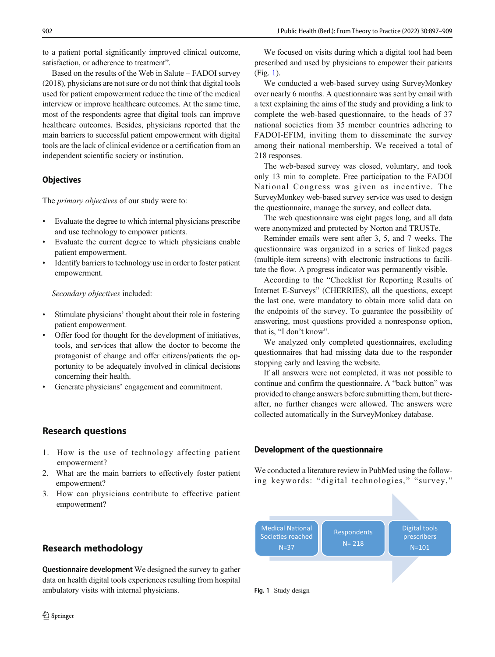to a patient portal significantly improved clinical outcome, satisfaction, or adherence to treatment".

Based on the results of the Web in Salute – FADOI survey (2018), physicians are not sure or do not think that digital tools used for patient empowerment reduce the time of the medical interview or improve healthcare outcomes. At the same time, most of the respondents agree that digital tools can improve healthcare outcomes. Besides, physicians reported that the main barriers to successful patient empowerment with digital tools are the lack of clinical evidence or a certification from an independent scientific society or institution.

### **Objectives**

The *primary objectives* of our study were to:

- & Evaluate the degree to which internal physicians prescribe and use technology to empower patients.
- Evaluate the current degree to which physicians enable patient empowerment.
- Identify barriers to technology use in order to foster patient empowerment.

Secondary objectives included:

- Stimulate physicians' thought about their role in fostering patient empowerment.
- Offer food for thought for the development of initiatives, tools, and services that allow the doctor to become the protagonist of change and offer citizens/patients the opportunity to be adequately involved in clinical decisions concerning their health.
- Generate physicians' engagement and commitment.

# Research questions

- 1. How is the use of technology affecting patient empowerment?
- 2. What are the main barriers to effectively foster patient empowerment?
- 3. How can physicians contribute to effective patient empowerment?

# Research methodology

Questionnaire development We designed the survey to gather data on health digital tools experiences resulting from hospital ambulatory visits with internal physicians.

We focused on visits during which a digital tool had been prescribed and used by physicians to empower their patients (Fig. 1).

We conducted a web-based survey using SurveyMonkey over nearly 6 months. A questionnaire was sent by email with a text explaining the aims of the study and providing a link to complete the web-based questionnaire, to the heads of 37 national societies from 35 member countries adhering to FADOI-EFIM, inviting them to disseminate the survey among their national membership. We received a total of 218 responses.

The web-based survey was closed, voluntary, and took only 13 min to complete. Free participation to the FADOI National Congress was given as incentive. The SurveyMonkey web-based survey service was used to design the questionnaire, manage the survey, and collect data.

The web questionnaire was eight pages long, and all data were anonymized and protected by Norton and TRUSTe.

Reminder emails were sent after 3, 5, and 7 weeks. The questionnaire was organized in a series of linked pages (multiple-item screens) with electronic instructions to facilitate the flow. A progress indicator was permanently visible.

According to the "Checklist for Reporting Results of Internet E-Surveys" (CHERRIES), all the questions, except the last one, were mandatory to obtain more solid data on the endpoints of the survey. To guarantee the possibility of answering, most questions provided a nonresponse option, that is, "I don't know".

We analyzed only completed questionnaires, excluding questionnaires that had missing data due to the responder stopping early and leaving the website.

If all answers were not completed, it was not possible to continue and confirm the questionnaire. A "back button" was provided to change answers before submitting them, but thereafter, no further changes were allowed. The answers were collected automatically in the SurveyMonkey database.

### Development of the questionnaire

We conducted a literature review in PubMed using the following keywords: "digital technologies," "survey,"

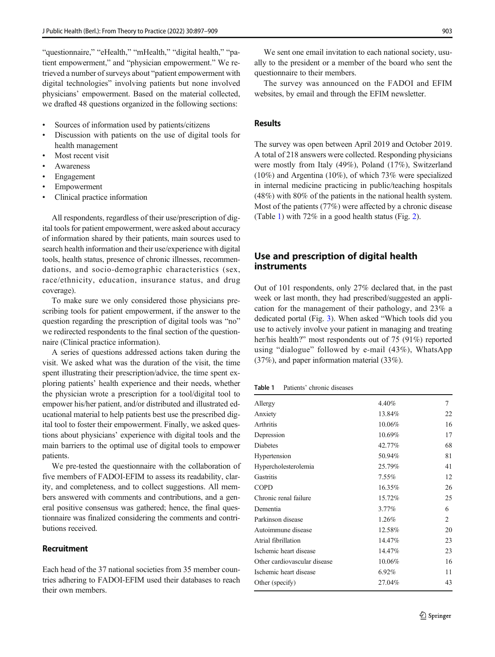"questionnaire," "eHealth," "mHealth," "digital health," "patient empowerment," and "physician empowerment." We retrieved a number of surveys about "patient empowerment with digital technologies" involving patients but none involved physicians' empowerment. Based on the material collected, we drafted 48 questions organized in the following sections:

- & Sources of information used by patients/citizens
- Discussion with patients on the use of digital tools for health management
- Most recent visit
- **Awareness**
- **Engagement**
- **Empowerment**
- Clinical practice information

All respondents, regardless of their use/prescription of digital tools for patient empowerment, were asked about accuracy of information shared by their patients, main sources used to search health information and their use/experience with digital tools, health status, presence of chronic illnesses, recommendations, and socio-demographic characteristics (sex, race/ethnicity, education, insurance status, and drug coverage).

To make sure we only considered those physicians prescribing tools for patient empowerment, if the answer to the question regarding the prescription of digital tools was "no" we redirected respondents to the final section of the questionnaire (Clinical practice information).

A series of questions addressed actions taken during the visit. We asked what was the duration of the visit, the time spent illustrating their prescription/advice, the time spent exploring patients' health experience and their needs, whether the physician wrote a prescription for a tool/digital tool to empower his/her patient, and/or distributed and illustrated educational material to help patients best use the prescribed digital tool to foster their empowerment. Finally, we asked questions about physicians' experience with digital tools and the main barriers to the optimal use of digital tools to empower patients.

We pre-tested the questionnaire with the collaboration of five members of FADOI-EFIM to assess its readability, clarity, and completeness, and to collect suggestions. All members answered with comments and contributions, and a general positive consensus was gathered; hence, the final questionnaire was finalized considering the comments and contributions received.

# Recruitment

Each head of the 37 national societies from 35 member countries adhering to FADOI-EFIM used their databases to reach their own members.

We sent one email invitation to each national society, usually to the president or a member of the board who sent the questionnaire to their members.

The survey was announced on the FADOI and EFIM websites, by email and through the EFIM newsletter.

#### Results

The survey was open between April 2019 and October 2019. A total of 218 answers were collected. Responding physicians were mostly from Italy (49%), Poland (17%), Switzerland (10%) and Argentina (10%), of which 73% were specialized in internal medicine practicing in public/teaching hospitals (48%) with 80% of the patients in the national health system. Most of the patients (77%) were affected by a chronic disease (Table 1) with 72% in a good health status (Fig. [2](#page-7-0)).

# Use and prescription of digital health instruments

Out of 101 respondents, only 27% declared that, in the past week or last month, they had prescribed/suggested an application for the management of their pathology, and 23% a dedicated portal (Fig. [3](#page-7-0)). When asked "Which tools did you use to actively involve your patient in managing and treating her/his health?" most respondents out of 75 (91%) reported using "dialogue" followed by e-mail (43%), WhatsApp (37%), and paper information material (33%).

Table 1 Patients' chronic diseases

| Allergy                      | 4.40%    | 7  |
|------------------------------|----------|----|
| Anxiety                      | 13.84%   | 22 |
| Arthritis                    | 10.06%   | 16 |
| Depression                   | 10.69%   | 17 |
| <b>Diabetes</b>              | 42.77%   | 68 |
| Hypertension                 | 50.94%   | 81 |
| Hypercholesterolemia         | 25.79%   | 41 |
| Gastritis                    | $7.55\%$ | 12 |
| <b>COPD</b>                  | 16.35%   | 26 |
| Chronic renal failure        | 15.72%   | 25 |
| Dementia                     | 3.77%    | 6  |
| Parkinson disease            | 1.26%    | 2  |
| Autoimmune disease           | 12.58%   | 20 |
| Atrial fibrillation          | 14.47%   | 23 |
| Ischemic heart disease       | 14.47%   | 23 |
| Other cardiovascular disease | 10.06%   | 16 |
| Ischemic heart disease       | 6.92%    | 11 |
| Other (specify)              | 27.04%   | 43 |
|                              |          |    |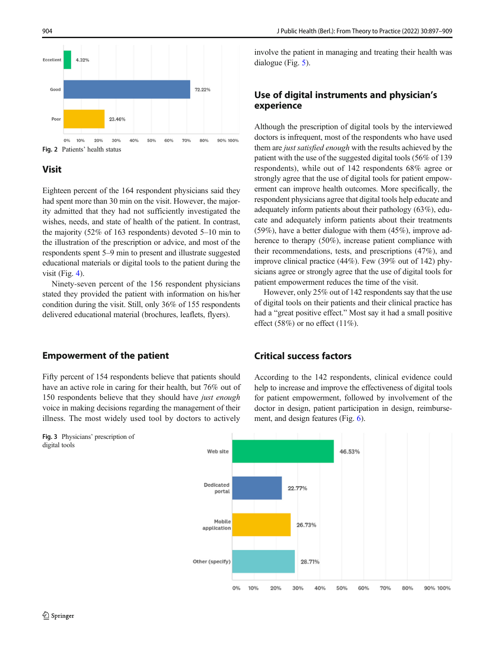<span id="page-7-0"></span>

# Visit

Eighteen percent of the 164 respondent physicians said they had spent more than 30 min on the visit. However, the majority admitted that they had not sufficiently investigated the wishes, needs, and state of health of the patient. In contrast, the majority (52% of 163 respondents) devoted 5–10 min to the illustration of the prescription or advice, and most of the respondents spent 5–9 min to present and illustrate suggested educational materials or digital tools to the patient during the visit (Fig. [4](#page-8-0)).

Ninety-seven percent of the 156 respondent physicians stated they provided the patient with information on his/her condition during the visit. Still, only 36% of 155 respondents delivered educational material (brochures, leaflets, flyers).

### Empowerment of the patient

### Fifty percent of 154 respondents believe that patients should have an active role in caring for their health, but 76% out of 150 respondents believe that they should have just enough voice in making decisions regarding the management of their illness. The most widely used tool by doctors to actively

involve the patient in managing and treating their health was dialogue (Fig. [5](#page-8-0)).

# Use of digital instruments and physician's experience

Although the prescription of digital tools by the interviewed doctors is infrequent, most of the respondents who have used them are just satisfied enough with the results achieved by the patient with the use of the suggested digital tools (56% of 139 respondents), while out of 142 respondents 68% agree or strongly agree that the use of digital tools for patient empowerment can improve health outcomes. More specifically, the respondent physicians agree that digital tools help educate and adequately inform patients about their pathology (63%), educate and adequately inform patients about their treatments (59%), have a better dialogue with them (45%), improve adherence to therapy (50%), increase patient compliance with their recommendations, tests, and prescriptions (47%), and improve clinical practice (44%). Few (39% out of 142) physicians agree or strongly agree that the use of digital tools for patient empowerment reduces the time of the visit.

However, only 25% out of 142 respondents say that the use of digital tools on their patients and their clinical practice has had a "great positive effect." Most say it had a small positive effect (58%) or no effect (11%).

# Critical success factors

According to the 142 respondents, clinical evidence could help to increase and improve the effectiveness of digital tools for patient empowerment, followed by involvement of the doctor in design, patient participation in design, reimbursement, and design features (Fig. [6](#page-9-0)).



Fig. 3 Physicians' prescription of digital tools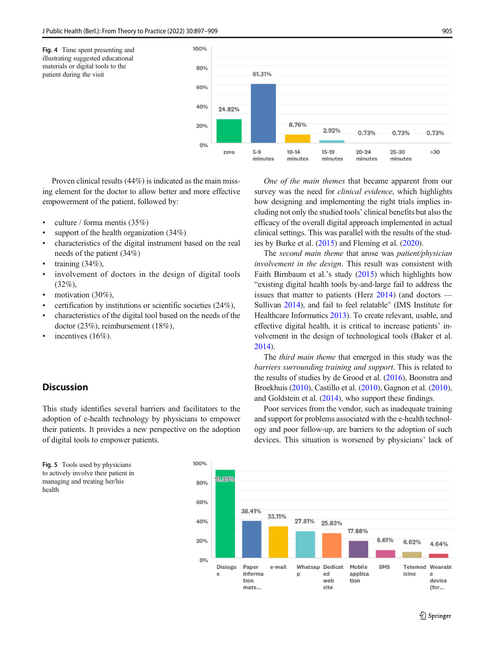<span id="page-8-0"></span>

Proven clinical results (44%) is indicated as the main missing element for the doctor to allow better and more effective empowerment of the patient, followed by:

- culture / forma mentis  $(35%)$
- support of the health organization  $(34%)$
- & characteristics of the digital instrument based on the real needs of the patient (34%)
- training  $(34\%)$ ,
- involvement of doctors in the design of digital tools (32%),
- motivation (30%),
- & certification by institutions or scientific societies (24%),
- & characteristics of the digital tool based on the needs of the doctor (23%), reimbursement (18%),
- incentives (16%).

### **Discussion**

This study identifies several barriers and facilitators to the adoption of e-health technology by physicians to empower their patients. It provides a new perspective on the adoption of digital tools to empower patients.



One of the main themes that became apparent from our survey was the need for *clinical evidence*, which highlights how designing and implementing the right trials implies including not only the studied tools' clinical benefits but also the efficacy of the overall digital approach implemented in actual clinical settings. This was parallel with the results of the studies by Burke et al. [\(2015\)](#page-11-0) and Fleming et al. ([2020](#page-11-0)).

The second main theme that arose was patient/physician involvement in the design. This result was consistent with Faith Birnbaum et al.'s study ([2015](#page-11-0)) which highlights how "existing digital health tools by-and-large fail to address the issues that matter to patients (Herz  $2014$ ) (and doctors — Sullivan [2014](#page-12-0)), and fail to feel relatable" (IMS Institute for Healthcare Informatics [2013](#page-11-0)). To create relevant, usable, and effective digital health, it is critical to increase patients' involvement in the design of technological tools (Baker et al. [2014\)](#page-11-0).

The third main theme that emerged in this study was the barriers surrounding training and support. This is related to the results of studies by de Grood et al. ([2016](#page-11-0)), Boonstra and Broekhuis [\(2010\)](#page-11-0), Castillo et al. ([2010](#page-11-0)), Gagnon et al. [\(2010\)](#page-11-0), and Goldstein et al. ([2014](#page-11-0)), who support these findings.

Poor services from the vendor, such as inadequate training and support for problems associated with the e-health technology and poor follow-up, are barriers to the adoption of such devices. This situation is worsened by physicians' lack of

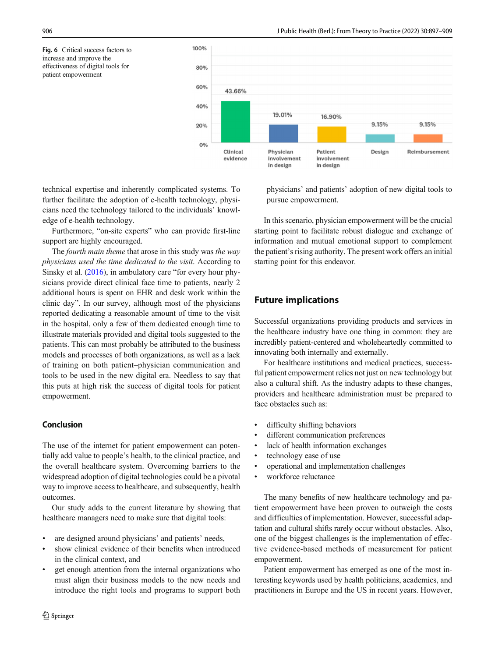<span id="page-9-0"></span>Fig. 6 Critical success factors to increase and improve the effectiveness of digital tools for patient empowerment



technical expertise and inherently complicated systems. To further facilitate the adoption of e-health technology, physicians need the technology tailored to the individuals' knowledge of e-health technology.

Furthermore, "on-site experts" who can provide first-line support are highly encouraged.

The *fourth main theme* that arose in this study was *the way* physicians used the time dedicated to the visit. According to Sinsky et al. [\(2016](#page-12-0)), in ambulatory care "for every hour physicians provide direct clinical face time to patients, nearly 2 additional hours is spent on EHR and desk work within the clinic day". In our survey, although most of the physicians reported dedicating a reasonable amount of time to the visit in the hospital, only a few of them dedicated enough time to illustrate materials provided and digital tools suggested to the patients. This can most probably be attributed to the business models and processes of both organizations, as well as a lack of training on both patient–physician communication and tools to be used in the new digital era. Needless to say that this puts at high risk the success of digital tools for patient empowerment.

### Conclusion

The use of the internet for patient empowerment can potentially add value to people's health, to the clinical practice, and the overall healthcare system. Overcoming barriers to the widespread adoption of digital technologies could be a pivotal way to improve access to healthcare, and subsequently, health outcomes.

Our study adds to the current literature by showing that healthcare managers need to make sure that digital tools:

- are designed around physicians' and patients' needs,
- show clinical evidence of their benefits when introduced in the clinical context, and
- get enough attention from the internal organizations who must align their business models to the new needs and introduce the right tools and programs to support both

physicians' and patients' adoption of new digital tools to pursue empowerment.

In this scenario, physician empowerment will be the crucial starting point to facilitate robust dialogue and exchange of information and mutual emotional support to complement the patient's rising authority. The present work offers an initial starting point for this endeavor.

# Future implications

Successful organizations providing products and services in the healthcare industry have one thing in common: they are incredibly patient-centered and wholeheartedly committed to innovating both internally and externally.

For healthcare institutions and medical practices, successful patient empowerment relies not just on new technology but also a cultural shift. As the industry adapts to these changes, providers and healthcare administration must be prepared to face obstacles such as:

- difficulty shifting behaviors
- different communication preferences
- lack of health information exchanges
- technology ease of use
- & operational and implementation challenges
- & workforce reluctance

The many benefits of new healthcare technology and patient empowerment have been proven to outweigh the costs and difficulties of implementation. However, successful adaptation and cultural shifts rarely occur without obstacles. Also, one of the biggest challenges is the implementation of effective evidence-based methods of measurement for patient empowerment.

Patient empowerment has emerged as one of the most interesting keywords used by health politicians, academics, and practitioners in Europe and the US in recent years. However,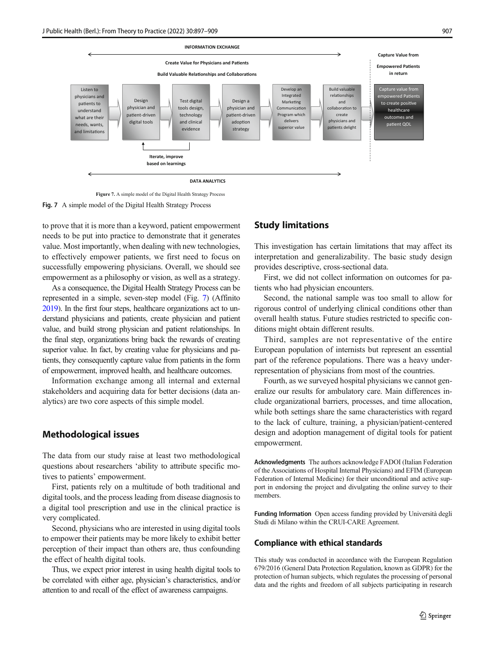

**Figure 7.** A simple model of the Digital Health Strategy Process

Fig. 7 A simple model of the Digital Health Strategy Process

to prove that it is more than a keyword, patient empowerment needs to be put into practice to demonstrate that it generates value. Most importantly, when dealing with new technologies, to effectively empower patients, we first need to focus on successfully empowering physicians. Overall, we should see empowerment as a philosophy or vision, as well as a strategy.

As a consequence, the Digital Health Strategy Process can be represented in a simple, seven-step model (Fig. 7) (Affinito [2019\)](#page-11-0). In the first four steps, healthcare organizations act to understand physicians and patients, create physician and patient value, and build strong physician and patient relationships. In the final step, organizations bring back the rewards of creating superior value. In fact, by creating value for physicians and patients, they consequently capture value from patients in the form of empowerment, improved health, and healthcare outcomes.

Information exchange among all internal and external stakeholders and acquiring data for better decisions (data analytics) are two core aspects of this simple model.

#### Methodological issues

The data from our study raise at least two methodological questions about researchers 'ability to attribute specific motives to patients' empowerment.

First, patients rely on a multitude of both traditional and digital tools, and the process leading from disease diagnosis to a digital tool prescription and use in the clinical practice is very complicated.

Second, physicians who are interested in using digital tools to empower their patients may be more likely to exhibit better perception of their impact than others are, thus confounding the effect of health digital tools.

Thus, we expect prior interest in using health digital tools to be correlated with either age, physician's characteristics, and/or attention to and recall of the effect of awareness campaigns.

### Study limitations

This investigation has certain limitations that may affect its interpretation and generalizability. The basic study design provides descriptive, cross-sectional data.

First, we did not collect information on outcomes for patients who had physician encounters.

Second, the national sample was too small to allow for rigorous control of underlying clinical conditions other than overall health status. Future studies restricted to specific conditions might obtain different results.

Third, samples are not representative of the entire European population of internists but represent an essential part of the reference populations. There was a heavy underrepresentation of physicians from most of the countries.

Fourth, as we surveyed hospital physicians we cannot generalize our results for ambulatory care. Main differences include organizational barriers, processes, and time allocation, while both settings share the same characteristics with regard to the lack of culture, training, a physician/patient-centered design and adoption management of digital tools for patient empowerment.

Acknowledgments The authors acknowledge FADOI (Italian Federation of the Associations of Hospital Internal Physicians) and EFIM (European Federation of Internal Medicine) for their unconditional and active support in endorsing the project and divulgating the online survey to their members.

Funding Information Open access funding provided by Università degli Studi di Milano within the CRUI-CARE Agreement.

#### Compliance with ethical standards

This study was conducted in accordance with the European Regulation 679/2016 (General Data Protection Regulation, known as GDPR) for the protection of human subjects, which regulates the processing of personal data and the rights and freedom of all subjects participating in research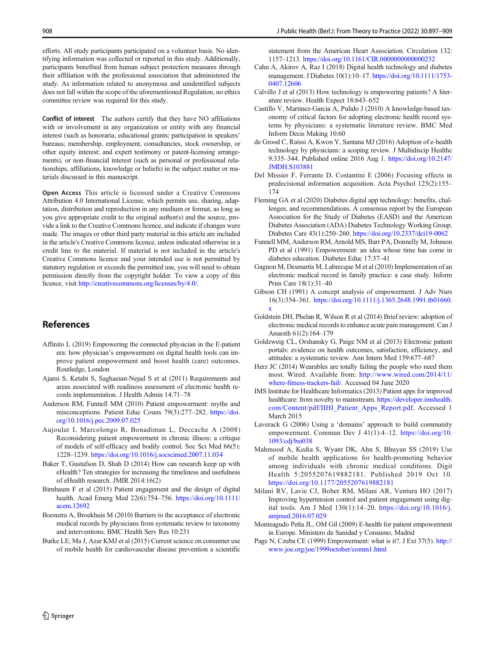<span id="page-11-0"></span>efforts. All study participants participated on a volunteer basis. No identifying information was collected or reported in this study. Additionally, participants benefited from human subject protection measures through their affiliation with the professional association that administered the study. As information related to anonymous and unidentified subjects does not fall within the scope of the aforementioned Regulation, no ethics committee review was required for this study.

Conflict of interest The authors certify that they have NO affiliations with or involvement in any organization or entity with any financial interest (such as honoraria; educational grants; participation in speakers' bureaus; membership, employment, consultancies, stock ownership, or other equity interest; and expert testimony or patent-licensing arrangements), or non-financial interest (such as personal or professional relationships, affiliations, knowledge or beliefs) in the subject matter or materials discussed in this manuscript.

Open Access This article is licensed under a Creative Commons Attribution 4.0 International License, which permits use, sharing, adaptation, distribution and reproduction in any medium or format, as long as you give appropriate credit to the original author(s) and the source, provide a link to the Creative Commons licence, and indicate if changes were made. The images or other third party material in this article are included in the article's Creative Commons licence, unless indicated otherwise in a credit line to the material. If material is not included in the article's Creative Commons licence and your intended use is not permitted by statutory regulation or exceeds the permitted use, you will need to obtain permission directly from the copyright holder. To view a copy of this licence, visit [http://creativecommons.org/licenses/by/4.0/](https://doi.org/).

# References

- Affinito L (2019) Empowering the connected physician in the E-patient era: how physician's empowerment on digital health tools can improve patient empowerment and boost health (care) outcomes. Routledge, London
- Ajami S, Ketabi S, Saghaeian-Nejad S et al (2011) Requirements and areas associated with readiness assessment of electronic health records implementation. J Health Admin 14:71–78
- Anderson RM, Funnell MM (2010) Patient empowerment: myths and misconceptions. Patient Educ Couns 79(3):277–282. [https://doi.](https://doi.org/10.1016/j.pec.2009.07.025) [org/10.1016/j.pec.2009.07.025](https://doi.org/10.1016/j.pec.2009.07.025)
- Aujoulat I, Marcolongo R, Bonadiman L, Deccache A (2008) Reconsidering patient empowerment in chronic illness: a critique of models of self-efficacy and bodily control. Soc Sci Med 66(5): 1228–1239. <https://doi.org/10.1016/j.socscimed.2007.11.034>
- Baker T, Gustafson D, Shah D (2014) How can research keep up with eHealth? Ten strategies for increasing the timeliness and usefulness of eHealth research. JMIR 2014:16(2)
- Birnbaum F et al (2015) Patient engagement and the design of digital health. Acad Emerg Med 22(6):754–756. [https://doi.org/10.1111/](https://doi.org/10.1111/acem.12692) [acem.12692](https://doi.org/10.1111/acem.12692)
- Boonstra A, Broekhuis M (2010) Barriers to the acceptance of electronic medical records by physicians from systematic review to taxonomy and interventions. BMC Health Serv Res 10:231
- Burke LE, Ma J, Azar KMJ et al (2015) Current science on consumer use of mobile health for cardiovascular disease prevention a scientific

statement from the American Heart Association. Circulation 132: 1157–1213. <https://doi.org/10.1161/CIR.0000000000000232>

- Cahn A, Akirov A, Raz I (2018) Digital health technology and diabetes management. J Diabetes 10(1):10–17. [https://doi.org/10.1111/1753-](https://doi.org/10.1111/1753-0407.12606) [0407.12606](https://doi.org/10.1111/1753-0407.12606)
- Calvillo J et al (2013) How technology is empowering patients? A literature review. Health Expect 18:643–652
- Castillo V, Martinez-Garcia A, Pulido J (2010) A knowledge-based taxonomy of critical factors for adopting electronic health record systems by physicians: a systematic literature review. BMC Med Inform Decis Making 10:60
- de Grood C, Raissi A, Kwon Y, Santana MJ (2016) Adoption of e-health technology by physicians: a scoping review. J Multidiscip Healthc 9:335–344. Published online 2016 Aug 1. [https://doi.org/10.2147/](https://doi.org/10.2147/JMDH.S103881) [JMDH.S103881](https://doi.org/10.2147/JMDH.S103881)
- Del Missier F, Ferrante D, Costantini E (2006) Focusing effects in predecisional information acquisition. Acta Psychol 125(2):155– 174
- Fleming GA et al (2020) Diabetes digital app technology: benefits, challenges, and recommendations. A consensus report by the European Association for the Study of Diabetes (EASD) and the American Diabetes Association (ADA) Diabetes Technology Working Group. Diabetes Care 43(1):250–260. <https://doi.org/10.2337/dci19-0062>
- Funnell MM, Anderson RM, Arnold MS, Barr PA, Donnelly M, Johnson PD et al (1991) Empowerment: an idea whose time has come in diabetes education. Diabetes Educ 17:37–41
- Gagnon M, Desmartis M, Labrecque M et al (2010) Implementation of an electronic medical record in family practice: a case study. Inform Prim Care 18(1):31–40
- Gibson CH (1991) A concept analysis of empowerment. J Adv Nurs 16(3):354–361. [https://doi.org/10.1111/j.1365.2648.1991.tb01660.](https://doi.org/10.1111/j.1365.2648.1991.tb01660.x) [x](https://doi.org/10.1111/j.1365.2648.1991.tb01660.x)
- Goldstein DH, Phelan R, Wilson R et al (2014) Brief review: adoption of electronic medical records to enhance acute pain management. Can J Anaesth 61(2):164–179
- Goldzweig CL, Orshansky G, Paige NM et al (2013) Electronic patient portals: evidence on health outcomes, satisfaction, efficiency, and attitudes: a systematic review. Ann Intern Med 159:677–687
- Herz JC (2014) Wearables are totally failing the people who need them most. Wired. Available from: [http://www.wired.com/2014/11/](http://www.wired.com/2014/11/whereitness-rackersail/) [where-fitness-trackers-fail/](http://www.wired.com/2014/11/whereitness-rackersail/). Accessed 04 June 2020
- IMS Institute for Healthcare Informatics (2013) Patient apps for improved healthcare: from novelty to mainstream. [https://developer.imshealth.](https://developer.imshealth.com/Content/pdf/IIHI_Patient_Apps_Report.pdf) [com/Content/pdf/IIHI\\_Patient\\_Apps\\_Report.pdf](https://developer.imshealth.com/Content/pdf/IIHI_Patient_Apps_Report.pdf). Accessed 1 March 2015
- Laverack G (2006) Using a 'domains' approach to build community empowerment. Commun Dev J 41(1):4-12. [https://doi.org/10.](https://doi.org/10.1093/cdj/bsi038) [1093/cdj/bsi038](https://doi.org/10.1093/cdj/bsi038)
- Mahmood A, Kedia S, Wyant DK, Ahn S, Bhuyan SS (2019) Use of mobile health applications for health-promoting behavior among individuals with chronic medical conditions. Digit Health 5:2055207619882181. Published 2019 Oct 10. <https://doi.org/10.1177/2055207619882181>
- Milani RV, Lavie CJ, Bober RM, Milani AR, Ventura HO (2017) Improving hypertension control and patient engagement using digital tools. Am J Med 130(1):14–20. [https://doi.org/10.1016/j.](https://doi.org/10.1016/j.amjmed.2016.07.029) [amjmed.2016.07.029](https://doi.org/10.1016/j.amjmed.2016.07.029)
- Monteagudo Peña JL, OM Gil (2009) E-health for patient empowerment in Europe. Ministero de Sanidad y Consumo, Madrid
- Page N, Czuba CE (1999) Empowerment: what is it?. J Ext 37(5). [http://](http://www.joe.org/joe/1999october/comm1.html) [www.joe.org/joe/1999october/comm1.html](http://www.joe.org/joe/1999october/comm1.html)